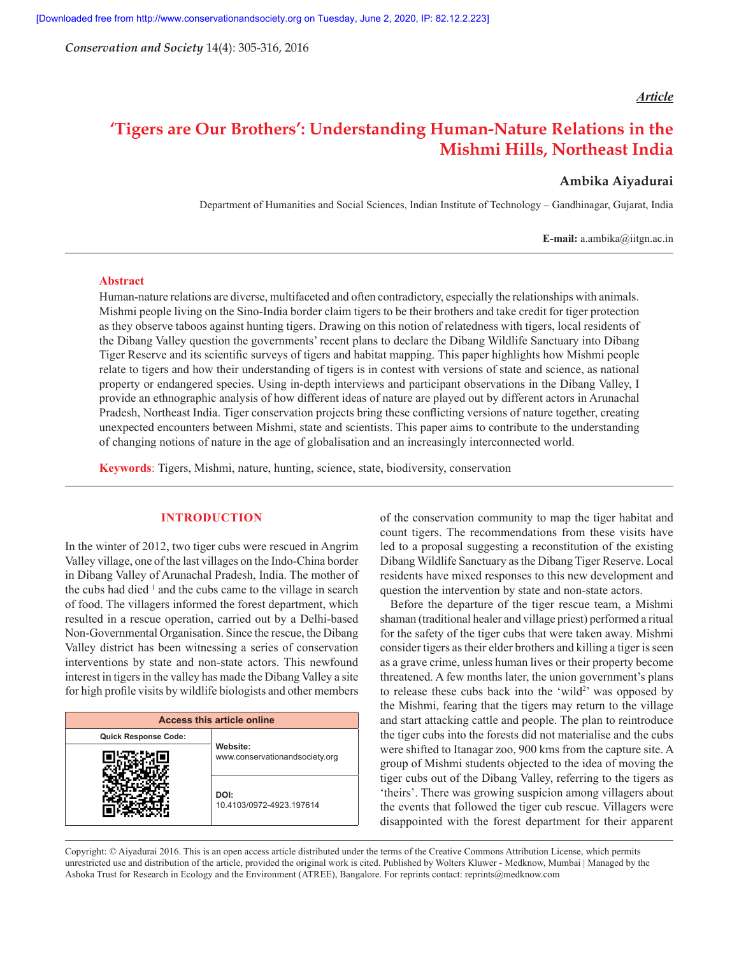*Conservation and Society* 14(4): 305-316, 2016

## *Article*

# **'Tigers are Our Brothers': Understanding Human-Nature Relations in the Mishmi Hills, Northeast India**

# **Ambika Aiyadurai**

Department of Humanities and Social Sciences, Indian Institute of Technology – Gandhinagar, Gujarat, India

**E-mail:** a.ambika@iitgn.ac.in

# **Abstract**

Human-nature relations are diverse, multifaceted and often contradictory, especially the relationships with animals. Mishmi people living on the Sino-India border claim tigers to be their brothers and take credit for tiger protection as they observe taboos against hunting tigers. Drawing on this notion of relatedness with tigers, local residents of the Dibang Valley question the governments' recent plans to declare the Dibang Wildlife Sanctuary into Dibang Tiger Reserve and its scientific surveys of tigers and habitat mapping. This paper highlights how Mishmi people relate to tigers and how their understanding of tigers is in contest with versions of state and science, as national property or endangered species. Using in-depth interviews and participant observations in the Dibang Valley, I provide an ethnographic analysis of how different ideas of nature are played out by different actors in Arunachal Pradesh, Northeast India. Tiger conservation projects bring these conflicting versions of nature together, creating unexpected encounters between Mishmi, state and scientists. This paper aims to contribute to the understanding of changing notions of nature in the age of globalisation and an increasingly interconnected world.

**Keywords**: Tigers, Mishmi, nature, hunting, science, state, biodiversity, conservation

# **INTRODUCTION**

In the winter of 2012, two tiger cubs were rescued in Angrim Valley village, one of the last villages on the Indo-China border in Dibang Valley of Arunachal Pradesh, India. The mother of the cubs had died  $\frac{1}{2}$  and the cubs came to the village in search of food. The villagers informed the forest department, which resulted in a rescue operation, carried out by a Delhi-based Non-Governmental Organisation. Since the rescue, the Dibang Valley district has been witnessing a series of conservation interventions by state and non-state actors. This newfound interest in tigers in the valley has made the Dibang Valley a site for high profile visits by wildlife biologists and other members

| Access this article online  |                                            |  |  |
|-----------------------------|--------------------------------------------|--|--|
| <b>Quick Response Code:</b> |                                            |  |  |
|                             | Website:<br>www.conservationandsociety.org |  |  |
|                             | DOI:<br>10.4103/0972-4923.197614           |  |  |

of the conservation community to map the tiger habitat and count tigers. The recommendations from these visits have led to a proposal suggesting a reconstitution of the existing Dibang Wildlife Sanctuary as the Dibang Tiger Reserve. Local residents have mixed responses to this new development and question the intervention by state and non-state actors.

Before the departure of the tiger rescue team, a Mishmi shaman (traditional healer and village priest) performed a ritual for the safety of the tiger cubs that were taken away. Mishmi consider tigers as their elder brothers and killing a tiger is seen as a grave crime, unless human lives or their property become threatened. A few months later, the union government's plans to release these cubs back into the 'wild<sup>2</sup>' was opposed by the Mishmi, fearing that the tigers may return to the village and start attacking cattle and people. The plan to reintroduce the tiger cubs into the forests did not materialise and the cubs were shifted to Itanagar zoo, 900 kms from the capture site. A group of Mishmi students objected to the idea of moving the tiger cubs out of the Dibang Valley, referring to the tigers as 'theirs'. There was growing suspicion among villagers about the events that followed the tiger cub rescue. Villagers were disappointed with the forest department for their apparent

Copyright: © Aiyadurai 2016. This is an open access article distributed under the terms of the Creative Commons Attribution License, which permits unrestricted use and distribution of the article, provided the original work is cited. Published by Wolters Kluwer - Medknow, Mumbai | Managed by the Ashoka Trust for Research in Ecology and the Environment (ATREE), Bangalore. For reprints contact: reprints@medknow.com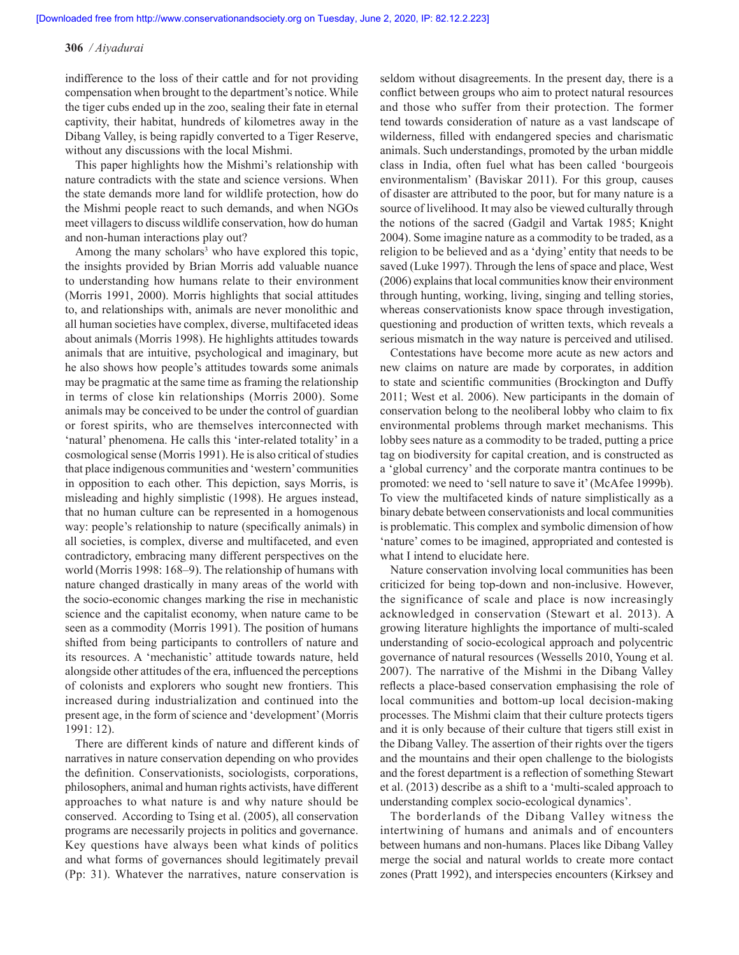indifference to the loss of their cattle and for not providing compensation when brought to the department's notice. While the tiger cubs ended up in the zoo, sealing their fate in eternal captivity, their habitat, hundreds of kilometres away in the Dibang Valley, is being rapidly converted to a Tiger Reserve, without any discussions with the local Mishmi.

This paper highlights how the Mishmi's relationship with nature contradicts with the state and science versions. When the state demands more land for wildlife protection, how do the Mishmi people react to such demands, and when NGOs meet villagers to discuss wildlife conservation, how do human and non-human interactions play out?

Among the many scholars<sup>3</sup> who have explored this topic, the insights provided by Brian Morris add valuable nuance to understanding how humans relate to their environment (Morris 1991, 2000). Morris highlights that social attitudes to, and relationships with, animals are never monolithic and all human societies have complex, diverse, multifaceted ideas about animals (Morris 1998). He highlights attitudes towards animals that are intuitive, psychological and imaginary, but he also shows how people's attitudes towards some animals may be pragmatic at the same time as framing the relationship in terms of close kin relationships (Morris 2000). Some animals may be conceived to be under the control of guardian or forest spirits, who are themselves interconnected with 'natural' phenomena. He calls this 'inter-related totality' in a cosmological sense (Morris 1991). He is also critical of studies that place indigenous communities and 'western' communities in opposition to each other. This depiction, says Morris, is misleading and highly simplistic (1998). He argues instead, that no human culture can be represented in a homogenous way: people's relationship to nature (specifically animals) in all societies, is complex, diverse and multifaceted, and even contradictory, embracing many different perspectives on the world (Morris 1998: 168–9). The relationship of humans with nature changed drastically in many areas of the world with the socio-economic changes marking the rise in mechanistic science and the capitalist economy, when nature came to be seen as a commodity (Morris 1991). The position of humans shifted from being participants to controllers of nature and its resources. A 'mechanistic' attitude towards nature, held alongside other attitudes of the era, influenced the perceptions of colonists and explorers who sought new frontiers. This increased during industrialization and continued into the present age, in the form of science and 'development' (Morris 1991: 12).

There are different kinds of nature and different kinds of narratives in nature conservation depending on who provides the definition. Conservationists, sociologists, corporations, philosophers, animal and human rights activists, have different approaches to what nature is and why nature should be conserved. According to Tsing et al. (2005), all conservation programs are necessarily projects in politics and governance. Key questions have always been what kinds of politics and what forms of governances should legitimately prevail (Pp: 31). Whatever the narratives, nature conservation is

seldom without disagreements. In the present day, there is a conflict between groups who aim to protect natural resources and those who suffer from their protection. The former tend towards consideration of nature as a vast landscape of wilderness, filled with endangered species and charismatic animals. Such understandings, promoted by the urban middle class in India, often fuel what has been called 'bourgeois environmentalism' (Baviskar 2011). For this group, causes of disaster are attributed to the poor, but for many nature is a source of livelihood. It may also be viewed culturally through the notions of the sacred (Gadgil and Vartak 1985; Knight 2004). Some imagine nature as a commodity to be traded, as a religion to be believed and as a 'dying' entity that needs to be saved (Luke 1997). Through the lens of space and place, West (2006) explains that local communities know their environment through hunting, working, living, singing and telling stories, whereas conservationists know space through investigation, questioning and production of written texts, which reveals a serious mismatch in the way nature is perceived and utilised.

Contestations have become more acute as new actors and new claims on nature are made by corporates, in addition to state and scientific communities (Brockington and Duffy 2011; West et al. 2006). New participants in the domain of conservation belong to the neoliberal lobby who claim to fix environmental problems through market mechanisms. This lobby sees nature as a commodity to be traded, putting a price tag on biodiversity for capital creation, and is constructed as a 'global currency' and the corporate mantra continues to be promoted: we need to 'sell nature to save it' (McAfee 1999b). To view the multifaceted kinds of nature simplistically as a binary debate between conservationists and local communities is problematic. This complex and symbolic dimension of how 'nature' comes to be imagined, appropriated and contested is what I intend to elucidate here.

Nature conservation involving local communities has been criticized for being top-down and non-inclusive. However, the significance of scale and place is now increasingly acknowledged in conservation (Stewart et al. 2013). A growing literature highlights the importance of multi-scaled understanding of socio-ecological approach and polycentric governance of natural resources (Wessells 2010, Young et al. 2007). The narrative of the Mishmi in the Dibang Valley reflects a place-based conservation emphasising the role of local communities and bottom-up local decision-making processes. The Mishmi claim that their culture protects tigers and it is only because of their culture that tigers still exist in the Dibang Valley. The assertion of their rights over the tigers and the mountains and their open challenge to the biologists and the forest department is a reflection of something Stewart et al. (2013) describe as a shift to a 'multi-scaled approach to understanding complex socio-ecological dynamics'.

The borderlands of the Dibang Valley witness the intertwining of humans and animals and of encounters between humans and non-humans. Places like Dibang Valley merge the social and natural worlds to create more contact zones (Pratt 1992), and interspecies encounters (Kirksey and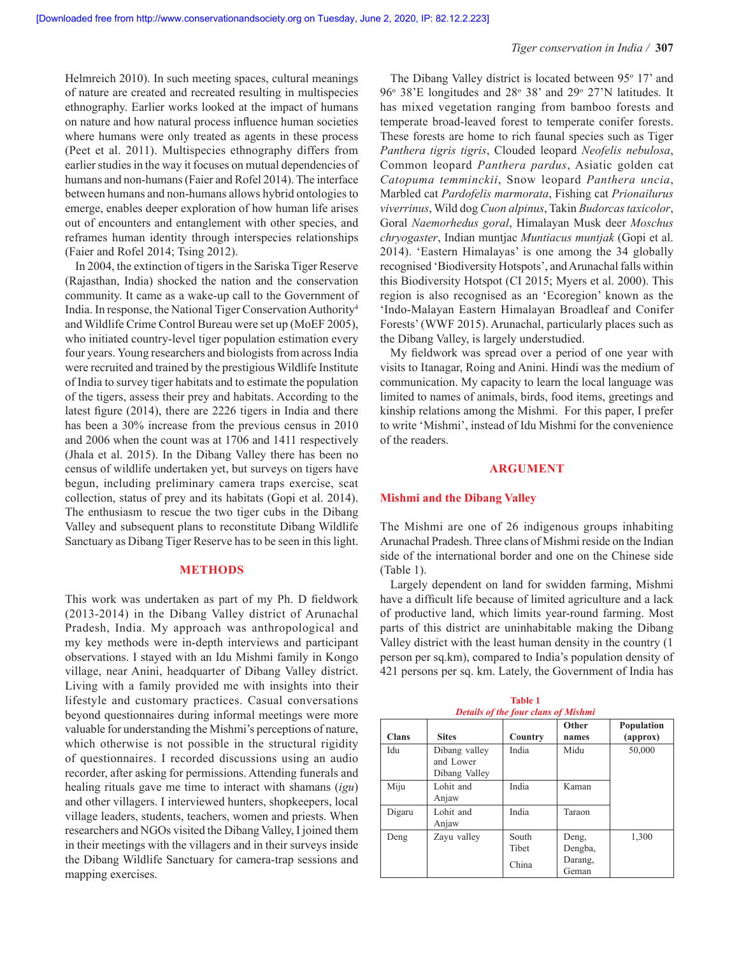Helmreich 2010). In such meeting spaces, cultural meanings of nature are created and recreated resulting in multispecies ethnography. Earlier works looked at the impact of humans on nature and how natural process influence human societies where humans were only treated as agents in these process (Peet et al. 2011). Multispecies ethnography differs from earlier studies in the way it focuses on mutual dependencies of humans and non-humans (Faier and Rofel 2014). The interface between humans and non-humans allows hybrid ontologies to emerge, enables deeper exploration of how human life arises out of encounters and entanglement with other species, and reframes human identity through interspecies relationships (Faier and Rofel 2014; Tsing 2012).

In 2004, the extinction of tigers in the Sariska Tiger Reserve (Rajasthan, India) shocked the nation and the conservation community. It came as a wake-up call to the Government of India. In response, the National Tiger Conservation Authority4 and Wildlife Crime Control Bureau were set up (MoEF 2005), who initiated country-level tiger population estimation every four years. Young researchers and biologists from across India were recruited and trained by the prestigious Wildlife Institute of India to survey tiger habitats and to estimate the population of the tigers, assess their prey and habitats. According to the latest figure (2014), there are 2226 tigers in India and there has been a 30% increase from the previous census in 2010 and 2006 when the count was at 1706 and 1411 respectively (Jhala et al. 2015). In the Dibang Valley there has been no census of wildlife undertaken yet, but surveys on tigers have begun, including preliminary camera traps exercise, scat collection, status of prey and its habitats (Gopi et al. 2014). The enthusiasm to rescue the two tiger cubs in the Dibang Valley and subsequent plans to reconstitute Dibang Wildlife Sanctuary as Dibang Tiger Reserve has to be seen in this light.

# **METHODS**

This work was undertaken as part of my Ph. D fieldwork (2013-2014) in the Dibang Valley district of Arunachal Pradesh, India. My approach was anthropological and my key methods were in-depth interviews and participant observations. I stayed with an Idu Mishmi family in Kongo village, near Anini, headquarter of Dibang Valley district. Living with a family provided me with insights into their lifestyle and customary practices. Casual conversations beyond questionnaires during informal meetings were more valuable for understanding the Mishmi's perceptions of nature, which otherwise is not possible in the structural rigidity of questionnaires. I recorded discussions using an audio recorder, after asking for permissions. Attending funerals and healing rituals gave me time to interact with shamans (*igu*) and other villagers. I interviewed hunters, shopkeepers, local village leaders, students, teachers, women and priests. When researchers and NGOs visited the Dibang Valley, I joined them in their meetings with the villagers and in their surveys inside the Dibang Wildlife Sanctuary for camera-trap sessions and mapping exercises.

The Dibang Valley district is located between  $95^{\circ}$  17' and 96° 38'E longitudes and 28° 38' and 29° 27'N latitudes. It has mixed vegetation ranging from bamboo forests and temperate broad-leaved forest to temperate conifer forests. These forests are home to rich faunal species such as Tiger *Panthera tigris tigris*, Clouded leopard *Neofelis nebulosa*, Common leopard *Panthera pardus*, Asiatic golden cat *Catopuma temminckii*, Snow leopard *Panthera uncia*, Marbled cat *Pardofelis marmorata*, Fishing cat *Prionailurus viverrinus*, Wild dog *Cuon alpinus*, Takin *Budorcas taxicolor*, Goral *Naemorhedus goral*, Himalayan Musk deer *Moschus chryogaster*, Indian muntjac *Muntiacus muntjak* (Gopi et al. 2014). 'Eastern Himalayas' is one among the 34 globally recognised 'Biodiversity Hotspots', and Arunachal falls within this Biodiversity Hotspot (CI 2015; Myers et al. 2000). This region is also recognised as an 'Ecoregion' known as the 'Indo-Malayan Eastern Himalayan Broadleaf and Conifer Forests' (WWF 2015). Arunachal, particularly places such as the Dibang Valley, is largely understudied.

My fieldwork was spread over a period of one year with visits to Itanagar, Roing and Anini. Hindi was the medium of communication. My capacity to learn the local language was limited to names of animals, birds, food items, greetings and kinship relations among the Mishmi. For this paper, I prefer to write 'Mishmi', instead of Idu Mishmi for the convenience of the readers.

#### **ARGUMENT**

#### **Mishmi and the Dibang Valley**

The Mishmi are one of 26 indigenous groups inhabiting Arunachal Pradesh. Three clans of Mishmi reside on the Indian side of the international border and one on the Chinese side (Table 1).

Largely dependent on land for swidden farming, Mishmi have a difficult life because of limited agriculture and a lack of productive land, which limits year-round farming. Most parts of this district are uninhabitable making the Dibang Valley district with the least human density in the country (1 person per sq.km), compared to India's population density of 421 persons per sq. km. Lately, the Government of India has

| <b>Details of the four clans of Mishmi</b> |                                             |                |                  |                        |
|--------------------------------------------|---------------------------------------------|----------------|------------------|------------------------|
| <b>Clans</b>                               | <b>Sites</b>                                | Country        | Other<br>names   | Population<br>(approx) |
| Idu                                        | Dibang valley<br>and Lower<br>Dibang Valley | India          | Midu             | 50,000                 |
| Miju                                       | Lohit and<br>Anjaw                          | India          | Kaman            |                        |
| Digaru                                     | Lohit and<br>Anjaw                          | India          | Taraon           |                        |
| Deng                                       | Zavu vallev                                 | South<br>Tibet | Deng,<br>Dengba, | 1,300                  |
|                                            |                                             | China          | Darang,<br>Geman |                        |

**Table 1**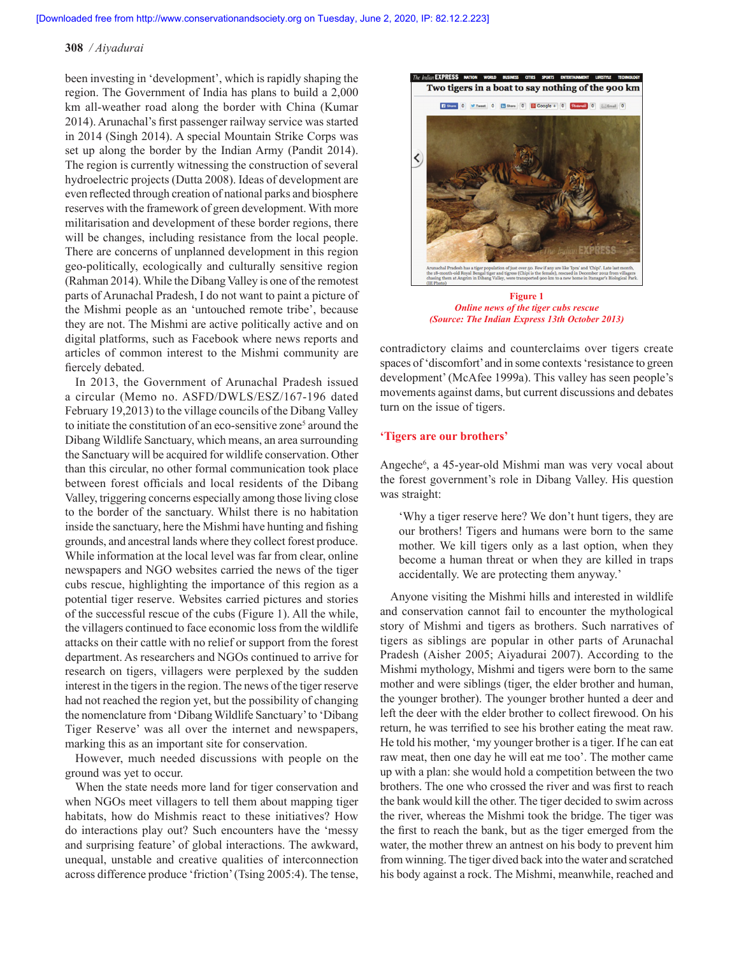been investing in 'development', which is rapidly shaping the region. The Government of India has plans to build a 2,000 km all-weather road along the border with China (Kumar 2014). Arunachal's first passenger railway service was started in 2014 (Singh 2014). A special Mountain Strike Corps was set up along the border by the Indian Army (Pandit 2014). The region is currently witnessing the construction of several hydroelectric projects (Dutta 2008). Ideas of development are even reflected through creation of national parks and biosphere reserves with the framework of green development. With more militarisation and development of these border regions, there will be changes, including resistance from the local people. There are concerns of unplanned development in this region geo-politically, ecologically and culturally sensitive region (Rahman 2014). While the Dibang Valley is one of the remotest parts of Arunachal Pradesh, I do not want to paint a picture of the Mishmi people as an 'untouched remote tribe', because they are not. The Mishmi are active politically active and on digital platforms, such as Facebook where news reports and articles of common interest to the Mishmi community are fiercely debated.

In 2013, the Government of Arunachal Pradesh issued a circular (Memo no. ASFD/DWLS/ESZ/167-196 dated February 19,2013) to the village councils of the Dibang Valley to initiate the constitution of an eco-sensitive zone<sup>5</sup> around the Dibang Wildlife Sanctuary, which means, an area surrounding the Sanctuary will be acquired for wildlife conservation. Other than this circular, no other formal communication took place between forest officials and local residents of the Dibang Valley, triggering concerns especially among those living close to the border of the sanctuary. Whilst there is no habitation inside the sanctuary, here the Mishmi have hunting and fishing grounds, and ancestral lands where they collect forest produce. While information at the local level was far from clear, online newspapers and NGO websites carried the news of the tiger cubs rescue, highlighting the importance of this region as a potential tiger reserve. Websites carried pictures and stories of the successful rescue of the cubs (Figure 1). All the while, the villagers continued to face economic loss from the wildlife attacks on their cattle with no relief or support from the forest department. As researchers and NGOs continued to arrive for research on tigers, villagers were perplexed by the sudden interest in the tigers in the region. The news of the tiger reserve had not reached the region yet, but the possibility of changing the nomenclature from 'Dibang Wildlife Sanctuary' to 'Dibang Tiger Reserve' was all over the internet and newspapers, marking this as an important site for conservation.

However, much needed discussions with people on the ground was yet to occur.

When the state needs more land for tiger conservation and when NGOs meet villagers to tell them about mapping tiger habitats, how do Mishmis react to these initiatives? How do interactions play out? Such encounters have the 'messy and surprising feature' of global interactions. The awkward, unequal, unstable and creative qualities of interconnection across difference produce 'friction' (Tsing 2005:4). The tense,



**Figure 1** *Online news of the tiger cubs rescue (Source: The Indian Express 13th October 2013)*

contradictory claims and counterclaims over tigers create spaces of 'discomfort' and in some contexts 'resistance to green development' (McAfee 1999a). This valley has seen people's movements against dams, but current discussions and debates turn on the issue of tigers.

## **'Tigers are our brothers'**

Angeche6 , a 45-year-old Mishmi man was very vocal about the forest government's role in Dibang Valley. His question was straight:

'Why a tiger reserve here? We don't hunt tigers, they are our brothers! Tigers and humans were born to the same mother. We kill tigers only as a last option, when they become a human threat or when they are killed in traps accidentally. We are protecting them anyway.'

Anyone visiting the Mishmi hills and interested in wildlife and conservation cannot fail to encounter the mythological story of Mishmi and tigers as brothers. Such narratives of tigers as siblings are popular in other parts of Arunachal Pradesh (Aisher 2005; Aiyadurai 2007). According to the Mishmi mythology, Mishmi and tigers were born to the same mother and were siblings (tiger, the elder brother and human, the younger brother). The younger brother hunted a deer and left the deer with the elder brother to collect firewood. On his return, he was terrified to see his brother eating the meat raw. He told his mother, 'my younger brother is a tiger. If he can eat raw meat, then one day he will eat me too'. The mother came up with a plan: she would hold a competition between the two brothers. The one who crossed the river and was first to reach the bank would kill the other. The tiger decided to swim across the river, whereas the Mishmi took the bridge. The tiger was the first to reach the bank, but as the tiger emerged from the water, the mother threw an antnest on his body to prevent him from winning. The tiger dived back into the water and scratched his body against a rock. The Mishmi, meanwhile, reached and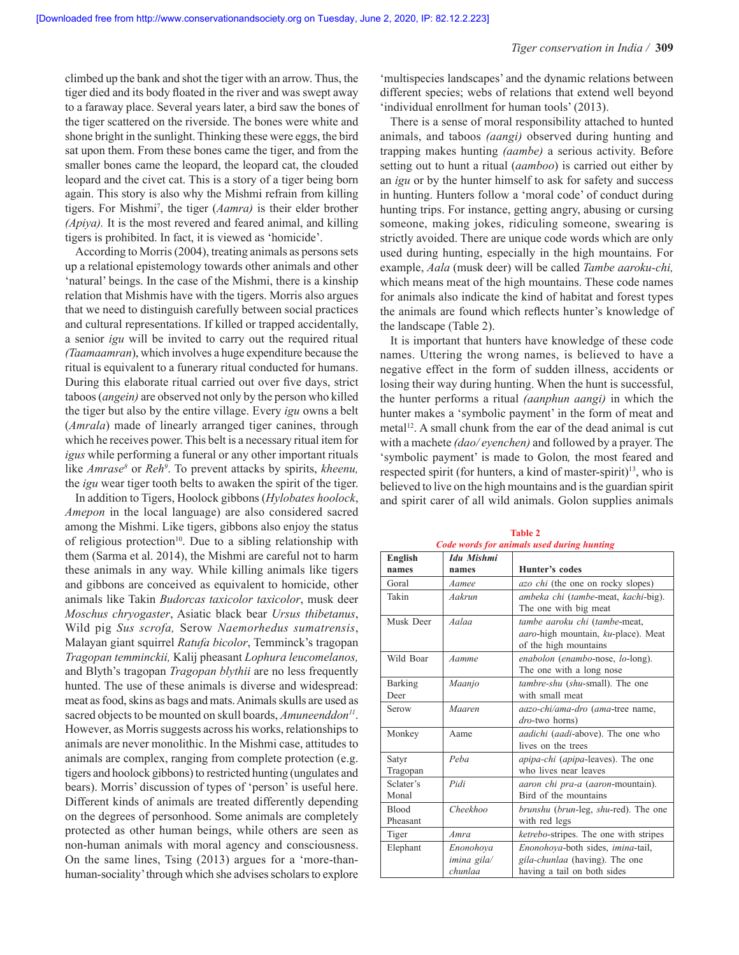climbed up the bank and shot the tiger with an arrow. Thus, the tiger died and its body floated in the river and was swept away to a faraway place. Several years later, a bird saw the bones of the tiger scattered on the riverside. The bones were white and shone bright in the sunlight. Thinking these were eggs, the bird sat upon them. From these bones came the tiger, and from the smaller bones came the leopard, the leopard cat, the clouded leopard and the civet cat. This is a story of a tiger being born again. This story is also why the Mishmi refrain from killing tigers. For Mishmi<sup>7</sup> , the tiger (*Aamra)* is their elder brother *(Apiya).* It is the most revered and feared animal, and killing tigers is prohibited. In fact, it is viewed as 'homicide'.

According to Morris (2004), treating animals as persons sets up a relational epistemology towards other animals and other 'natural' beings. In the case of the Mishmi, there is a kinship relation that Mishmis have with the tigers. Morris also argues that we need to distinguish carefully between social practices and cultural representations. If killed or trapped accidentally, a senior *igu* will be invited to carry out the required ritual *(Taamaamran*), which involves a huge expenditure because the ritual is equivalent to a funerary ritual conducted for humans. During this elaborate ritual carried out over five days, strict taboos (*angein)* are observed not only by the person who killed the tiger but also by the entire village. Every *igu* owns a belt (*Amrala*) made of linearly arranged tiger canines, through which he receives power. This belt is a necessary ritual item for *igus* while performing a funeral or any other important rituals like *Amrase<sup>8</sup>* or *Reh<sup>9</sup>*. To prevent attacks by spirits, *kheenu*, the *igu* wear tiger tooth belts to awaken the spirit of the tiger.

In addition to Tigers, Hoolock gibbons (*Hylobates hoolock*, *Amepon* in the local language) are also considered sacred among the Mishmi. Like tigers, gibbons also enjoy the status of religious protection<sup>10</sup>. Due to a sibling relationship with them (Sarma et al. 2014), the Mishmi are careful not to harm these animals in any way. While killing animals like tigers and gibbons are conceived as equivalent to homicide, other animals like Takin *Budorcas taxicolor taxicolor*, musk deer *Moschus chryogaster*, Asiatic black bear *Ursus thibetanus*, Wild pig *Sus scrofa,* Serow *Naemorhedus sumatrensis*, Malayan giant squirrel *Ratufa bicolor*, Temminck's tragopan *Tragopan temminckii,* Kalij pheasant *Lophura leucomelanos,*  and Blyth's tragopan *Tragopan blythii* are no less frequently hunted. The use of these animals is diverse and widespread: meat as food, skins as bags and mats. Animals skulls are used as sacred objects to be mounted on skull boards, *Amuneenddon<sup>11</sup>*. However, as Morris suggests across his works, relationships to animals are never monolithic. In the Mishmi case, attitudes to animals are complex, ranging from complete protection (e.g. tigers and hoolock gibbons) to restricted hunting (ungulates and bears). Morris' discussion of types of 'person' is useful here. Different kinds of animals are treated differently depending on the degrees of personhood. Some animals are completely protected as other human beings, while others are seen as non-human animals with moral agency and consciousness. On the same lines, Tsing (2013) argues for a 'more-thanhuman-sociality' through which she advises scholars to explore 'multispecies landscapes' and the dynamic relations between different species; webs of relations that extend well beyond 'individual enrollment for human tools' (2013).

There is a sense of moral responsibility attached to hunted animals, and taboos *(aangi)* observed during hunting and trapping makes hunting *(aambe)* a serious activity. Before setting out to hunt a ritual (*aamboo*) is carried out either by an *igu* or by the hunter himself to ask for safety and success in hunting. Hunters follow a 'moral code' of conduct during hunting trips. For instance, getting angry, abusing or cursing someone, making jokes, ridiculing someone, swearing is strictly avoided. There are unique code words which are only used during hunting, especially in the high mountains. For example, *Aala* (musk deer) will be called *Tambe aaroku-chi,*  which means meat of the high mountains. These code names for animals also indicate the kind of habitat and forest types the animals are found which reflects hunter's knowledge of the landscape (Table 2).

It is important that hunters have knowledge of these code names. Uttering the wrong names, is believed to have a negative effect in the form of sudden illness, accidents or losing their way during hunting. When the hunt is successful, the hunter performs a ritual *(aanphun aangi)* in which the hunter makes a 'symbolic payment' in the form of meat and metal<sup>12</sup>. A small chunk from the ear of the dead animal is cut with a machete *(dao/ eyenchen)* and followed by a prayer. The 'symbolic payment' is made to Golon*,* the most feared and respected spirit (for hunters, a kind of master-spirit)<sup>13</sup>, who is believed to live on the high mountains and is the guardian spirit and spirit carer of all wild animals. Golon supplies animals

| Code words for animals used during hunting |                            |                                                                                               |  |  |
|--------------------------------------------|----------------------------|-----------------------------------------------------------------------------------------------|--|--|
| English<br>names                           | <b>Idu Mishmi</b><br>names | Hunter's codes                                                                                |  |  |
| Goral                                      | Aamee                      |                                                                                               |  |  |
|                                            |                            | <i>azo chi</i> (the one on rocky slopes)                                                      |  |  |
| Takin                                      | Aakrun                     | ambeka chi (tambe-meat, kachi-big).<br>The one with big meat                                  |  |  |
| Musk Deer                                  | Aalaa                      | tambe aaroku chi (tambe-meat,<br>aaro-high mountain, ku-place). Meat<br>of the high mountains |  |  |
| Wild Boar                                  | Aamme                      | enabolon (enambo-nose, lo-long).<br>The one with a long nose                                  |  |  |
| <b>Barking</b><br>Deer                     | Maanjo                     | <i>tambre-shu (shu-small)</i> . The one<br>with small meat                                    |  |  |
| Serow                                      | Maaren                     | aazo-chi/ama-dro (ama-tree name,<br><i>dro</i> -two horns)                                    |  |  |
| Monkey                                     | Aame                       | <i>aadichi</i> ( <i>aadi</i> -above). The one who<br>lives on the trees                       |  |  |
| Satyr<br>Tragopan                          | Peha                       | <i>apipa-chi (apipa-leaves)</i> . The one<br>who lives near leaves                            |  |  |
| Sclater's<br>Monal                         | Pidi                       | <i>aaron chi pra-a (aaron-mountain).</i><br>Bird of the mountains                             |  |  |
| <b>Blood</b><br>Pheasant                   | Cheekhoo                   | brunshu (brun-leg, shu-red). The one<br>with red legs                                         |  |  |
| Tiger                                      | Amra                       | ketrebo-stripes. The one with stripes                                                         |  |  |
| Elephant                                   | Enonohoya<br>imina gila/   | Enonohoya-both sides, imina-tail,<br>gila-chunlaa (having). The one                           |  |  |
|                                            | chunlaa                    | having a tail on both sides                                                                   |  |  |

**Table 2** *Code words for animals used during hunting*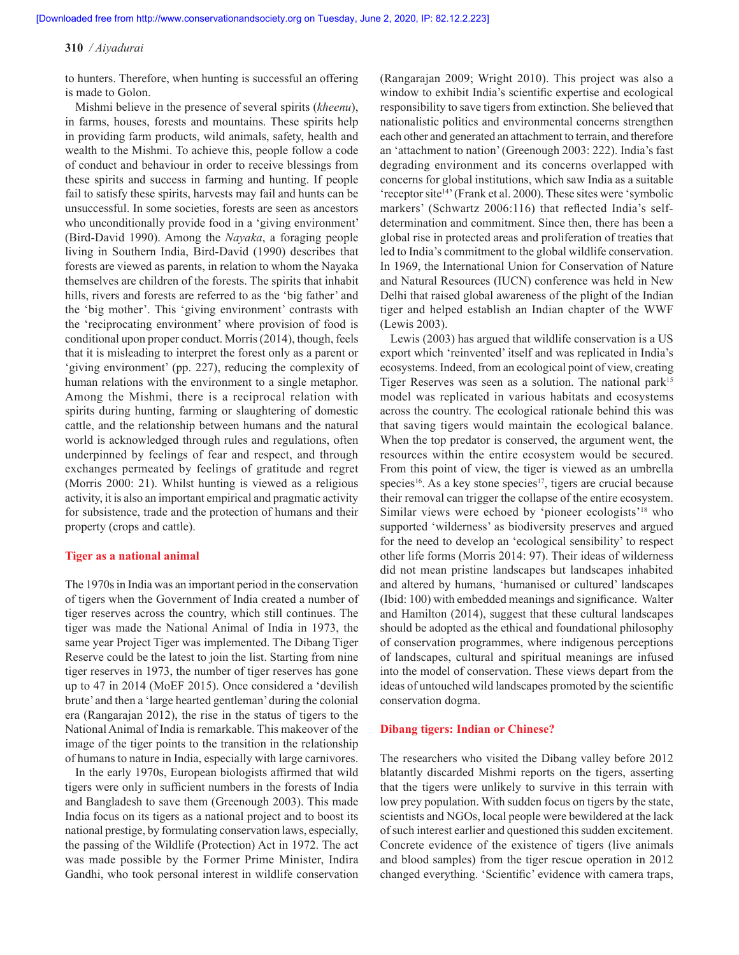to hunters. Therefore, when hunting is successful an offering is made to Golon.

Mishmi believe in the presence of several spirits (*kheenu*), in farms, houses, forests and mountains. These spirits help in providing farm products, wild animals, safety, health and wealth to the Mishmi. To achieve this, people follow a code of conduct and behaviour in order to receive blessings from these spirits and success in farming and hunting. If people fail to satisfy these spirits, harvests may fail and hunts can be unsuccessful. In some societies, forests are seen as ancestors who unconditionally provide food in a 'giving environment' (Bird-David 1990). Among the *Nayaka*, a foraging people living in Southern India, Bird-David (1990) describes that forests are viewed as parents, in relation to whom the Nayaka themselves are children of the forests. The spirits that inhabit hills, rivers and forests are referred to as the 'big father' and the 'big mother'. This 'giving environment' contrasts with the 'reciprocating environment' where provision of food is conditional upon proper conduct. Morris (2014), though, feels that it is misleading to interpret the forest only as a parent or 'giving environment' (pp. 227), reducing the complexity of human relations with the environment to a single metaphor. Among the Mishmi, there is a reciprocal relation with spirits during hunting, farming or slaughtering of domestic cattle, and the relationship between humans and the natural world is acknowledged through rules and regulations, often underpinned by feelings of fear and respect, and through exchanges permeated by feelings of gratitude and regret (Morris 2000: 21). Whilst hunting is viewed as a religious activity, it is also an important empirical and pragmatic activity for subsistence, trade and the protection of humans and their property (crops and cattle).

## **Tiger as a national animal**

The 1970s in India was an important period in the conservation of tigers when the Government of India created a number of tiger reserves across the country, which still continues. The tiger was made the National Animal of India in 1973, the same year Project Tiger was implemented. The Dibang Tiger Reserve could be the latest to join the list. Starting from nine tiger reserves in 1973, the number of tiger reserves has gone up to 47 in 2014 (MoEF 2015). Once considered a 'devilish brute' and then a 'large hearted gentleman' during the colonial era (Rangarajan 2012), the rise in the status of tigers to the National Animal of India is remarkable. This makeover of the image of the tiger points to the transition in the relationship of humans to nature in India, especially with large carnivores.

In the early 1970s, European biologists affirmed that wild tigers were only in sufficient numbers in the forests of India and Bangladesh to save them (Greenough 2003). This made India focus on its tigers as a national project and to boost its national prestige, by formulating conservation laws, especially, the passing of the Wildlife (Protection) Act in 1972. The act was made possible by the Former Prime Minister, Indira Gandhi, who took personal interest in wildlife conservation (Rangarajan 2009; Wright 2010). This project was also a window to exhibit India's scientific expertise and ecological responsibility to save tigers from extinction. She believed that nationalistic politics and environmental concerns strengthen each other and generated an attachment to terrain, and therefore an 'attachment to nation' (Greenough 2003: 222). India's fast degrading environment and its concerns overlapped with concerns for global institutions, which saw India as a suitable 'receptor site<sup>14</sup>' (Frank et al. 2000). These sites were 'symbolic markers' (Schwartz 2006:116) that reflected India's selfdetermination and commitment. Since then, there has been a global rise in protected areas and proliferation of treaties that led to India's commitment to the global wildlife conservation. In 1969, the International Union for Conservation of Nature and Natural Resources (IUCN) conference was held in New Delhi that raised global awareness of the plight of the Indian tiger and helped establish an Indian chapter of the WWF (Lewis 2003).

Lewis (2003) has argued that wildlife conservation is a US export which 'reinvented' itself and was replicated in India's ecosystems. Indeed, from an ecological point of view, creating Tiger Reserves was seen as a solution. The national park<sup>15</sup> model was replicated in various habitats and ecosystems across the country. The ecological rationale behind this was that saving tigers would maintain the ecological balance. When the top predator is conserved, the argument went, the resources within the entire ecosystem would be secured. From this point of view, the tiger is viewed as an umbrella species<sup>16</sup>. As a key stone species<sup>17</sup>, tigers are crucial because their removal can trigger the collapse of the entire ecosystem. Similar views were echoed by 'pioneer ecologists'18 who supported 'wilderness' as biodiversity preserves and argued for the need to develop an 'ecological sensibility' to respect other life forms (Morris 2014: 97). Their ideas of wilderness did not mean pristine landscapes but landscapes inhabited and altered by humans, 'humanised or cultured' landscapes (Ibid: 100) with embedded meanings and significance. Walter and Hamilton (2014), suggest that these cultural landscapes should be adopted as the ethical and foundational philosophy of conservation programmes, where indigenous perceptions of landscapes, cultural and spiritual meanings are infused into the model of conservation. These views depart from the ideas of untouched wild landscapes promoted by the scientific conservation dogma.

## **Dibang tigers: Indian or Chinese?**

The researchers who visited the Dibang valley before 2012 blatantly discarded Mishmi reports on the tigers, asserting that the tigers were unlikely to survive in this terrain with low prey population. With sudden focus on tigers by the state, scientists and NGOs, local people were bewildered at the lack of such interest earlier and questioned this sudden excitement. Concrete evidence of the existence of tigers (live animals and blood samples) from the tiger rescue operation in 2012 changed everything. 'Scientific' evidence with camera traps,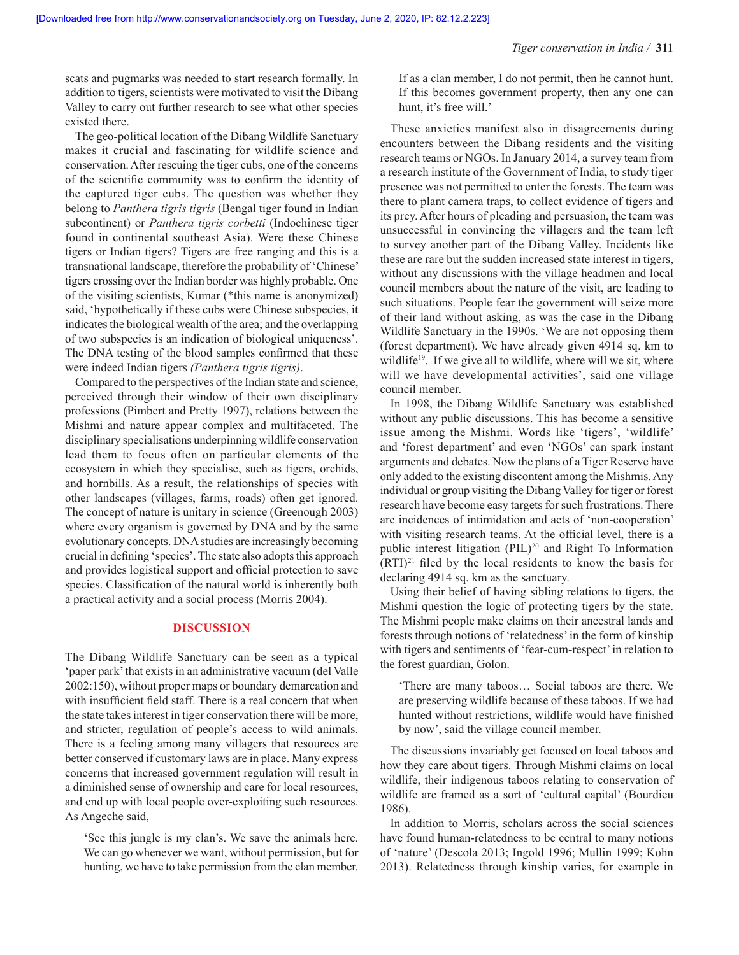scats and pugmarks was needed to start research formally. In addition to tigers, scientists were motivated to visit the Dibang Valley to carry out further research to see what other species existed there.

The geo-political location of the Dibang Wildlife Sanctuary makes it crucial and fascinating for wildlife science and conservation. After rescuing the tiger cubs, one of the concerns of the scientific community was to confirm the identity of the captured tiger cubs. The question was whether they belong to *Panthera tigris tigris* (Bengal tiger found in Indian subcontinent) or *Panthera tigris corbetti* (Indochinese tiger found in continental southeast Asia). Were these Chinese tigers or Indian tigers? Tigers are free ranging and this is a transnational landscape, therefore the probability of 'Chinese' tigers crossing over the Indian border was highly probable. One of the visiting scientists, Kumar (\*this name is anonymized) said, 'hypothetically if these cubs were Chinese subspecies, it indicates the biological wealth of the area; and the overlapping of two subspecies is an indication of biological uniqueness'. The DNA testing of the blood samples confirmed that these were indeed Indian tigers *(Panthera tigris tigris)*.

Compared to the perspectives of the Indian state and science, perceived through their window of their own disciplinary professions (Pimbert and Pretty 1997), relations between the Mishmi and nature appear complex and multifaceted. The disciplinary specialisations underpinning wildlife conservation lead them to focus often on particular elements of the ecosystem in which they specialise, such as tigers, orchids, and hornbills. As a result, the relationships of species with other landscapes (villages, farms, roads) often get ignored. The concept of nature is unitary in science (Greenough 2003) where every organism is governed by DNA and by the same evolutionary concepts. DNA studies are increasingly becoming crucial in defining 'species'. The state also adopts this approach and provides logistical support and official protection to save species. Classification of the natural world is inherently both a practical activity and a social process (Morris 2004).

## **DISCUSSION**

The Dibang Wildlife Sanctuary can be seen as a typical 'paper park' that exists in an administrative vacuum (del Valle 2002:150), without proper maps or boundary demarcation and with insufficient field staff. There is a real concern that when the state takes interest in tiger conservation there will be more, and stricter, regulation of people's access to wild animals. There is a feeling among many villagers that resources are better conserved if customary laws are in place. Many express concerns that increased government regulation will result in a diminished sense of ownership and care for local resources, and end up with local people over-exploiting such resources. As Angeche said,

'See this jungle is my clan's. We save the animals here. We can go whenever we want, without permission, but for hunting, we have to take permission from the clan member. If as a clan member, I do not permit, then he cannot hunt. If this becomes government property, then any one can hunt, it's free will.'

These anxieties manifest also in disagreements during encounters between the Dibang residents and the visiting research teams or NGOs. In January 2014, a survey team from a research institute of the Government of India, to study tiger presence was not permitted to enter the forests. The team was there to plant camera traps, to collect evidence of tigers and its prey. After hours of pleading and persuasion, the team was unsuccessful in convincing the villagers and the team left to survey another part of the Dibang Valley. Incidents like these are rare but the sudden increased state interest in tigers, without any discussions with the village headmen and local council members about the nature of the visit, are leading to such situations. People fear the government will seize more of their land without asking, as was the case in the Dibang Wildlife Sanctuary in the 1990s. 'We are not opposing them (forest department). We have already given 4914 sq. km to wildlife<sup>19</sup>. If we give all to wildlife, where will we sit, where will we have developmental activities', said one village council member.

In 1998, the Dibang Wildlife Sanctuary was established without any public discussions. This has become a sensitive issue among the Mishmi. Words like 'tigers', 'wildlife' and 'forest department' and even 'NGOs' can spark instant arguments and debates. Now the plans of a Tiger Reserve have only added to the existing discontent among the Mishmis. Any individual or group visiting the Dibang Valley for tiger or forest research have become easy targets for such frustrations. There are incidences of intimidation and acts of 'non-cooperation' with visiting research teams. At the official level, there is a public interest litigation (PIL)<sup>20</sup> and Right To Information (RTI)21 filed by the local residents to know the basis for declaring 4914 sq. km as the sanctuary.

Using their belief of having sibling relations to tigers, the Mishmi question the logic of protecting tigers by the state. The Mishmi people make claims on their ancestral lands and forests through notions of 'relatedness' in the form of kinship with tigers and sentiments of 'fear-cum-respect' in relation to the forest guardian, Golon.

'There are many taboos… Social taboos are there. We are preserving wildlife because of these taboos. If we had hunted without restrictions, wildlife would have finished by now', said the village council member.

The discussions invariably get focused on local taboos and how they care about tigers. Through Mishmi claims on local wildlife, their indigenous taboos relating to conservation of wildlife are framed as a sort of 'cultural capital' (Bourdieu 1986).

In addition to Morris, scholars across the social sciences have found human-relatedness to be central to many notions of 'nature' (Descola 2013; Ingold 1996; Mullin 1999; Kohn 2013). Relatedness through kinship varies, for example in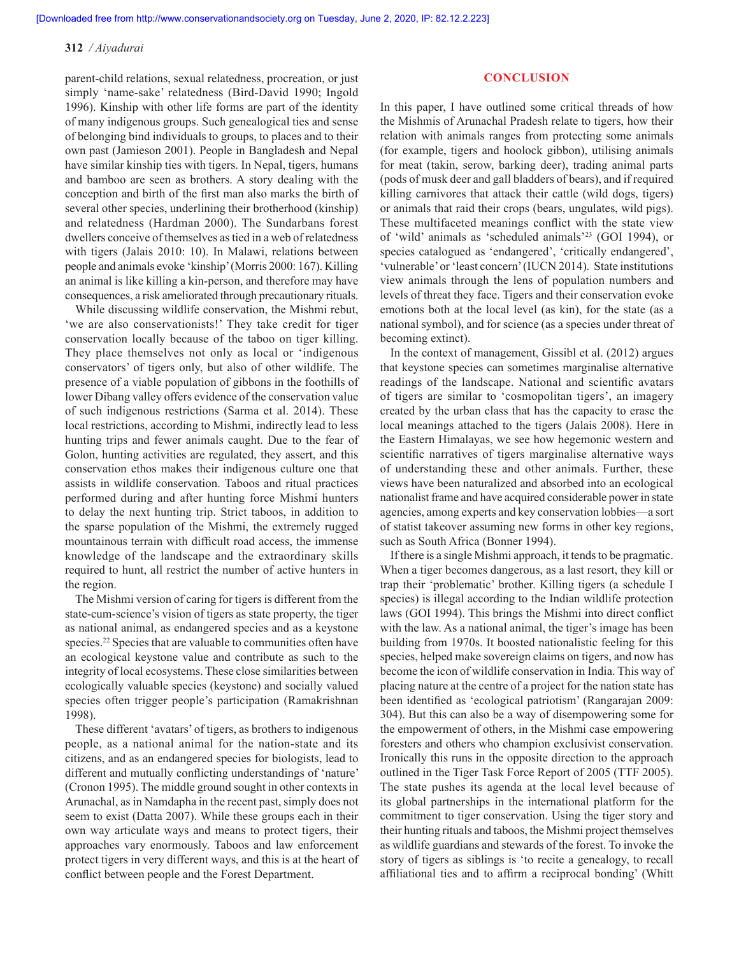parent-child relations, sexual relatedness, procreation, or just simply 'name-sake' relatedness (Bird-David 1990; Ingold 1996). Kinship with other life forms are part of the identity of many indigenous groups. Such genealogical ties and sense of belonging bind individuals to groups, to places and to their own past (Jamieson 2001). People in Bangladesh and Nepal have similar kinship ties with tigers. In Nepal, tigers, humans and bamboo are seen as brothers. A story dealing with the conception and birth of the first man also marks the birth of several other species, underlining their brotherhood (kinship) and relatedness (Hardman 2000). The Sundarbans forest dwellers conceive of themselves as tied in a web of relatedness with tigers (Jalais 2010: 10). In Malawi, relations between people and animals evoke 'kinship' (Morris 2000: 167). Killing an animal is like killing a kin-person, and therefore may have consequences, a risk ameliorated through precautionary rituals.

While discussing wildlife conservation, the Mishmi rebut, 'we are also conservationists!' They take credit for tiger conservation locally because of the taboo on tiger killing. They place themselves not only as local or 'indigenous conservators' of tigers only, but also of other wildlife. The presence of a viable population of gibbons in the foothills of lower Dibang valley offers evidence of the conservation value of such indigenous restrictions (Sarma et al. 2014). These local restrictions, according to Mishmi, indirectly lead to less hunting trips and fewer animals caught. Due to the fear of Golon, hunting activities are regulated, they assert, and this conservation ethos makes their indigenous culture one that assists in wildlife conservation. Taboos and ritual practices performed during and after hunting force Mishmi hunters to delay the next hunting trip. Strict taboos, in addition to the sparse population of the Mishmi, the extremely rugged mountainous terrain with difficult road access, the immense knowledge of the landscape and the extraordinary skills required to hunt, all restrict the number of active hunters in the region.

The Mishmi version of caring for tigers is different from the state-cum-science's vision of tigers as state property, the tiger as national animal, as endangered species and as a keystone species.22 Species that are valuable to communities often have an ecological keystone value and contribute as such to the integrity of local ecosystems. These close similarities between ecologically valuable species (keystone) and socially valued species often trigger people's participation (Ramakrishnan 1998).

These different 'avatars' of tigers, as brothers to indigenous people, as a national animal for the nation-state and its citizens, and as an endangered species for biologists, lead to different and mutually conflicting understandings of 'nature' (Cronon 1995). The middle ground sought in other contexts in Arunachal, as in Namdapha in the recent past, simply does not seem to exist (Datta 2007). While these groups each in their own way articulate ways and means to protect tigers, their approaches vary enormously. Taboos and law enforcement protect tigers in very different ways, and this is at the heart of conflict between people and the Forest Department.

## **CONCLUSION**

In this paper, I have outlined some critical threads of how the Mishmis of Arunachal Pradesh relate to tigers, how their relation with animals ranges from protecting some animals (for example, tigers and hoolock gibbon), utilising animals for meat (takin, serow, barking deer), trading animal parts (pods of musk deer and gall bladders of bears), and if required killing carnivores that attack their cattle (wild dogs, tigers) or animals that raid their crops (bears, ungulates, wild pigs). These multifaceted meanings conflict with the state view of 'wild' animals as 'scheduled animals'23 (GOI 1994), or species catalogued as 'endangered', 'critically endangered', 'vulnerable' or 'least concern' (IUCN 2014). State institutions view animals through the lens of population numbers and levels of threat they face. Tigers and their conservation evoke emotions both at the local level (as kin), for the state (as a national symbol), and for science (as a species under threat of becoming extinct).

In the context of management, Gissibl et al. (2012) argues that keystone species can sometimes marginalise alternative readings of the landscape. National and scientific avatars of tigers are similar to 'cosmopolitan tigers', an imagery created by the urban class that has the capacity to erase the local meanings attached to the tigers (Jalais 2008). Here in the Eastern Himalayas, we see how hegemonic western and scientific narratives of tigers marginalise alternative ways of understanding these and other animals. Further, these views have been naturalized and absorbed into an ecological nationalist frame and have acquired considerable power in state agencies, among experts and key conservation lobbies—a sort of statist takeover assuming new forms in other key regions, such as South Africa (Bonner 1994).

If there is a single Mishmi approach, it tends to be pragmatic. When a tiger becomes dangerous, as a last resort, they kill or trap their 'problematic' brother. Killing tigers (a schedule I species) is illegal according to the Indian wildlife protection laws (GOI 1994). This brings the Mishmi into direct conflict with the law. As a national animal, the tiger's image has been building from 1970s. It boosted nationalistic feeling for this species, helped make sovereign claims on tigers, and now has become the icon of wildlife conservation in India. This way of placing nature at the centre of a project for the nation state has been identified as 'ecological patriotism' (Rangarajan 2009: 304). But this can also be a way of disempowering some for the empowerment of others, in the Mishmi case empowering foresters and others who champion exclusivist conservation. Ironically this runs in the opposite direction to the approach outlined in the Tiger Task Force Report of 2005 (TTF 2005). The state pushes its agenda at the local level because of its global partnerships in the international platform for the commitment to tiger conservation. Using the tiger story and their hunting rituals and taboos, the Mishmi project themselves as wildlife guardians and stewards of the forest. To invoke the story of tigers as siblings is 'to recite a genealogy, to recall affiliational ties and to affirm a reciprocal bonding' (Whitt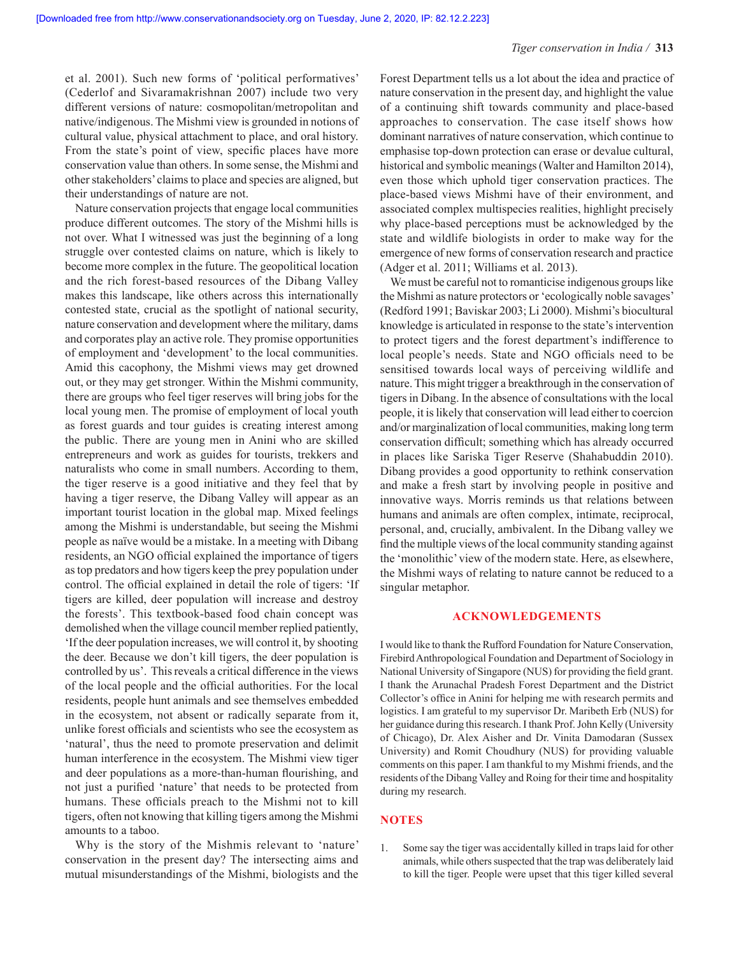et al. 2001). Such new forms of 'political performatives' (Cederlof and Sivaramakrishnan 2007) include two very different versions of nature: cosmopolitan/metropolitan and native/indigenous. The Mishmi view is grounded in notions of cultural value, physical attachment to place, and oral history. From the state's point of view, specific places have more conservation value than others. In some sense, the Mishmi and other stakeholders' claims to place and species are aligned, but their understandings of nature are not.

Nature conservation projects that engage local communities produce different outcomes. The story of the Mishmi hills is not over. What I witnessed was just the beginning of a long struggle over contested claims on nature, which is likely to become more complex in the future. The geopolitical location and the rich forest-based resources of the Dibang Valley makes this landscape, like others across this internationally contested state, crucial as the spotlight of national security, nature conservation and development where the military, dams and corporates play an active role. They promise opportunities of employment and 'development' to the local communities. Amid this cacophony, the Mishmi views may get drowned out, or they may get stronger. Within the Mishmi community, there are groups who feel tiger reserves will bring jobs for the local young men. The promise of employment of local youth as forest guards and tour guides is creating interest among the public. There are young men in Anini who are skilled entrepreneurs and work as guides for tourists, trekkers and naturalists who come in small numbers. According to them, the tiger reserve is a good initiative and they feel that by having a tiger reserve, the Dibang Valley will appear as an important tourist location in the global map. Mixed feelings among the Mishmi is understandable, but seeing the Mishmi people as naïve would be a mistake. In a meeting with Dibang residents, an NGO official explained the importance of tigers as top predators and how tigers keep the prey population under control. The official explained in detail the role of tigers: 'If tigers are killed, deer population will increase and destroy the forests'. This textbook-based food chain concept was demolished when the village council member replied patiently, 'If the deer population increases, we will control it, by shooting the deer. Because we don't kill tigers, the deer population is controlled by us'. This reveals a critical difference in the views of the local people and the official authorities. For the local residents, people hunt animals and see themselves embedded in the ecosystem, not absent or radically separate from it, unlike forest officials and scientists who see the ecosystem as 'natural', thus the need to promote preservation and delimit human interference in the ecosystem. The Mishmi view tiger and deer populations as a more-than-human flourishing, and not just a purified 'nature' that needs to be protected from humans. These officials preach to the Mishmi not to kill tigers, often not knowing that killing tigers among the Mishmi amounts to a taboo.

Why is the story of the Mishmis relevant to 'nature' conservation in the present day? The intersecting aims and mutual misunderstandings of the Mishmi, biologists and the Forest Department tells us a lot about the idea and practice of nature conservation in the present day, and highlight the value of a continuing shift towards community and place-based approaches to conservation. The case itself shows how dominant narratives of nature conservation, which continue to emphasise top-down protection can erase or devalue cultural, historical and symbolic meanings (Walter and Hamilton 2014), even those which uphold tiger conservation practices. The place-based views Mishmi have of their environment, and associated complex multispecies realities, highlight precisely why place-based perceptions must be acknowledged by the state and wildlife biologists in order to make way for the emergence of new forms of conservation research and practice (Adger et al. 2011; Williams et al. 2013).

We must be careful not to romanticise indigenous groups like the Mishmi as nature protectors or 'ecologically noble savages' (Redford 1991; Baviskar 2003; Li 2000). Mishmi's biocultural knowledge is articulated in response to the state's intervention to protect tigers and the forest department's indifference to local people's needs. State and NGO officials need to be sensitised towards local ways of perceiving wildlife and nature. This might trigger a breakthrough in the conservation of tigers in Dibang. In the absence of consultations with the local people, it is likely that conservation will lead either to coercion and/or marginalization of local communities, making long term conservation difficult; something which has already occurred in places like Sariska Tiger Reserve (Shahabuddin 2010). Dibang provides a good opportunity to rethink conservation and make a fresh start by involving people in positive and innovative ways. Morris reminds us that relations between humans and animals are often complex, intimate, reciprocal, personal, and, crucially, ambivalent. In the Dibang valley we find the multiple views of the local community standing against the 'monolithic' view of the modern state. Here, as elsewhere, the Mishmi ways of relating to nature cannot be reduced to a singular metaphor.

# **ACKNOWLEDGEMENTS**

I would like to thank the Rufford Foundation for Nature Conservation, Firebird Anthropological Foundation and Department of Sociology in National University of Singapore (NUS) for providing the field grant. I thank the Arunachal Pradesh Forest Department and the District Collector's office in Anini for helping me with research permits and logistics. I am grateful to my supervisor Dr. Maribeth Erb (NUS) for her guidance during this research. I thank Prof. John Kelly (University of Chicago), Dr. Alex Aisher and Dr. Vinita Damodaran (Sussex University) and Romit Choudhury (NUS) for providing valuable comments on this paper. I am thankful to my Mishmi friends, and the residents of the Dibang Valley and Roing for their time and hospitality during my research.

## **NOTES**

1. Some say the tiger was accidentally killed in traps laid for other animals, while others suspected that the trap was deliberately laid to kill the tiger. People were upset that this tiger killed several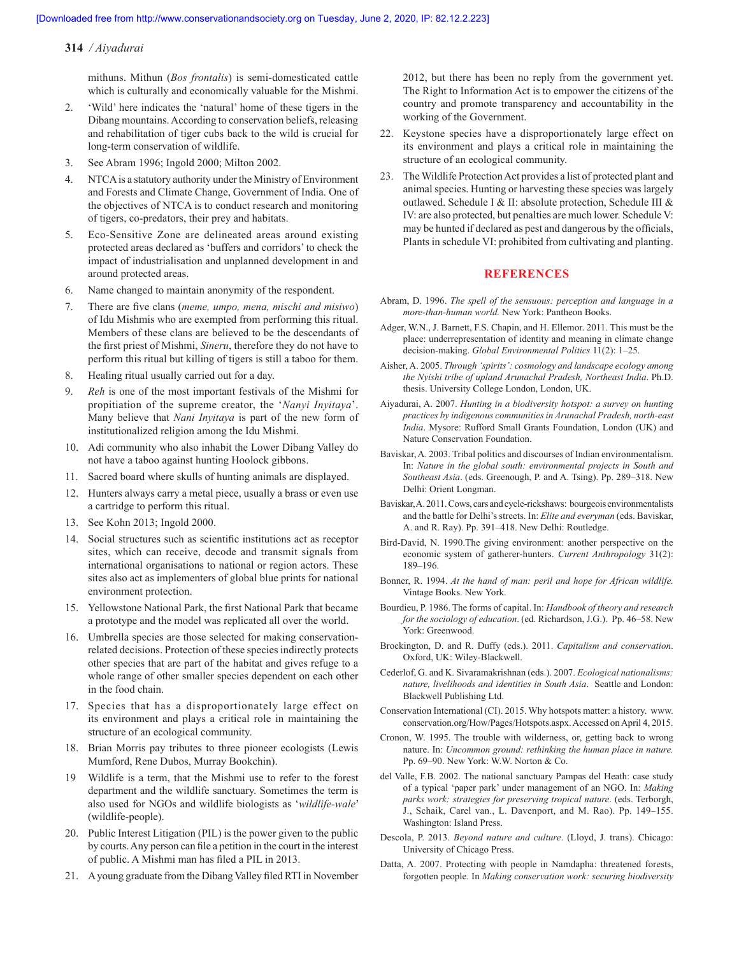mithuns. Mithun (*Bos frontalis*) is semi-domesticated cattle which is culturally and economically valuable for the Mishmi.

- 2. 'Wild' here indicates the 'natural' home of these tigers in the Dibang mountains. According to conservation beliefs, releasing and rehabilitation of tiger cubs back to the wild is crucial for long-term conservation of wildlife.
- 3. See Abram 1996; Ingold 2000; Milton 2002.
- 4. NTCA is a statutory authority under the Ministry of Environment and Forests and Climate Change, Government of India. One of the objectives of NTCA is to conduct research and monitoring of tigers, co-predators, their prey and habitats.
- 5. Eco-Sensitive Zone are delineated areas around existing protected areas declared as 'buffers and corridors' to check the impact of industrialisation and unplanned development in and around protected areas.
- 6. Name changed to maintain anonymity of the respondent.
- 7. There are five clans (*meme, umpo, mena, mischi and misiwo*) of Idu Mishmis who are exempted from performing this ritual. Members of these clans are believed to be the descendants of the first priest of Mishmi, *Sineru*, therefore they do not have to perform this ritual but killing of tigers is still a taboo for them.
- 8. Healing ritual usually carried out for a day.
- 9. *Reh* is one of the most important festivals of the Mishmi for propitiation of the supreme creator, the '*Nanyi Inyitaya*'. Many believe that *Nani Inyitaya* is part of the new form of institutionalized religion among the Idu Mishmi.
- 10. Adi community who also inhabit the Lower Dibang Valley do not have a taboo against hunting Hoolock gibbons.
- 11. Sacred board where skulls of hunting animals are displayed.
- 12. Hunters always carry a metal piece, usually a brass or even use a cartridge to perform this ritual.
- 13. See Kohn 2013; Ingold 2000.
- 14. Social structures such as scientific institutions act as receptor sites, which can receive, decode and transmit signals from international organisations to national or region actors. These sites also act as implementers of global blue prints for national environment protection.
- 15. Yellowstone National Park, the first National Park that became a prototype and the model was replicated all over the world.
- 16. Umbrella species are those selected for making conservationrelated decisions. Protection of these species indirectly protects other species that are part of the habitat and gives refuge to a whole range of other smaller species dependent on each other in the food chain.
- 17. Species that has a disproportionately large effect on its environment and plays a critical role in maintaining the structure of an ecological community.
- 18. Brian Morris pay tributes to three pioneer ecologists (Lewis Mumford, Rene Dubos, Murray Bookchin).
- 19 Wildlife is a term, that the Mishmi use to refer to the forest department and the wildlife sanctuary. Sometimes the term is also used for NGOs and wildlife biologists as '*wildlife-wale*' (wildlife-people).
- 20. Public Interest Litigation (PIL) is the power given to the public by courts. Any person can file a petition in the court in the interest of public. A Mishmi man has filed a PIL in 2013.
- 21. A young graduate from the Dibang Valley filed RTI in November

2012, but there has been no reply from the government yet. The Right to Information Act is to empower the citizens of the country and promote transparency and accountability in the working of the Government.

- 22. Keystone species have a disproportionately large effect on its environment and plays a critical role in maintaining the structure of an ecological community.
- 23. The Wildlife Protection Act provides a list of protected plant and animal species. Hunting or harvesting these species was largely outlawed. Schedule I & II: absolute protection, Schedule III & IV: are also protected, but penalties are much lower. Schedule V: may be hunted if declared as pest and dangerous by the officials, Plants in schedule VI: prohibited from cultivating and planting.

# **REFERENCES**

- Abram, D. 1996. *The spell of the sensuous: perception and language in a more-than-human world.* New York: Pantheon Books.
- Adger, W.N., J. Barnett, F.S. Chapin, and H. Ellemor. 2011. This must be the place: underrepresentation of identity and meaning in climate change decision-making. *Global Environmental Politics* 11(2): 1–25.
- Aisher, A. 2005. *Through 'spirits': cosmology and landscape ecology among the Nyishi tribe of upland Arunachal Pradesh, Northeast India*. Ph.D. thesis. University College London, London, UK.
- Aiyadurai, A. 2007. *Hunting in a biodiversity hotspot: a survey on hunting practices by indigenous communities in Arunachal Pradesh, north-east India*. Mysore: Rufford Small Grants Foundation, London (UK) and Nature Conservation Foundation.
- Baviskar, A. 2003. Tribal politics and discourses of Indian environmentalism. In: *Nature in the global south: environmental projects in South and Southeast Asia*. (eds. Greenough, P. and A. Tsing). Pp. 289–318. New Delhi: Orient Longman.
- Baviskar, A. 2011. Cows, cars and cycle-rickshaws: bourgeois environmentalists and the battle for Delhi's streets. In: *Elite and everyman* (eds. Baviskar, A. and R. Ray). Pp. 391–418. New Delhi: Routledge.
- Bird-David, N. 1990.The giving environment: another perspective on the economic system of gatherer-hunters. *Current Anthropology* 31(2): 189–196.
- Bonner, R. 1994. *At the hand of man: peril and hope for African wildlife.* Vintage Books. New York.
- Bourdieu, P. 1986. The forms of capital. In: *Handbook of theory and research for the sociology of education*. (ed. Richardson, J.G.). Pp. 46–58. New York: Greenwood.
- Brockington, D. and R. Duffy (eds.). 2011. *Capitalism and conservation*. Oxford, UK: Wiley-Blackwell.
- Cederlof, G. and K. Sivaramakrishnan (eds.). 2007. *Ecological nationalisms: nature, livelihoods and identities in South Asia*. Seattle and London: Blackwell Publishing Ltd.
- Conservation International (CI). 2015. Why hotspots matter: a history. www. conservation.org/How/Pages/Hotspots.aspx. Accessed on April 4, 2015.
- Cronon, W. 1995. The trouble with wilderness, or, getting back to wrong nature. In: *Uncommon ground: rethinking the human place in nature.* Pp. 69–90. New York: W.W. Norton & Co.
- del Valle, F.B. 2002. The national sanctuary Pampas del Heath: case study of a typical 'paper park' under management of an NGO. In: *Making parks work: strategies for preserving tropical nature*. (eds. Terborgh, J., Schaik, Carel van., L. Davenport, and M. Rao). Pp. 149–155. Washington: Island Press.
- Descola, P. 2013. *Beyond nature and culture*. (Lloyd, J. trans). Chicago: University of Chicago Press.
- Datta, A. 2007. Protecting with people in Namdapha: threatened forests, forgotten people. In *Making conservation work: securing biodiversity*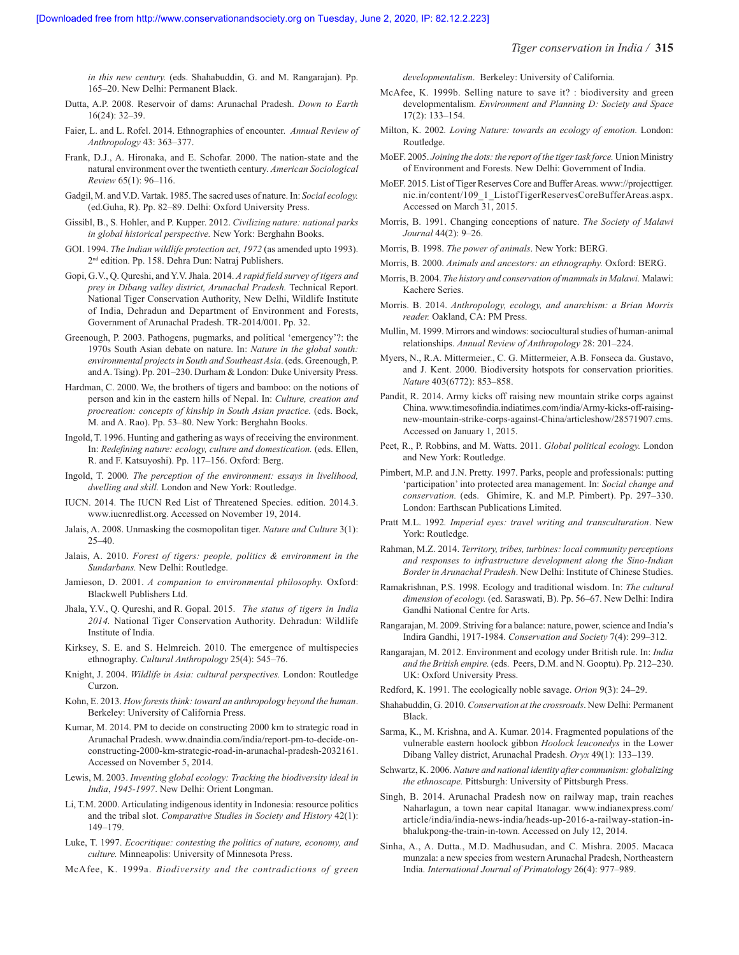*in this new century.* (eds. Shahabuddin, G. and M. Rangarajan). Pp. 165–20. New Delhi: Permanent Black.

- Dutta, A.P. 2008. Reservoir of dams: Arunachal Pradesh. *Down to Earth* 16(24): 32–39.
- Faier, L. and L. Rofel. 2014. Ethnographies of encounter. *Annual Review of Anthropology* 43: 363–377.
- Frank, D.J., A. Hironaka, and E. Schofar. 2000. The nation-state and the natural environment over the twentieth century. *American Sociological Review* 65(1): 96–116.
- Gadgil, M. and V.D. Vartak. 1985. The sacred uses of nature. In: *Social ecology.* (ed.Guha, R). Pp. 82–89. Delhi: Oxford University Press.
- Gissibl, B., S. Hohler, and P. Kupper. 2012. *Civilizing nature: national parks in global historical perspective.* New York: Berghahn Books.
- GOI. 1994. *The Indian wildlife protection act, 1972* (as amended upto 1993). 2nd edition. Pp. 158. Dehra Dun: Natraj Publishers.
- Gopi, G.V., Q. Qureshi, and Y.V. Jhala. 2014. *A rapid field survey of tigers and prey in Dibang valley district, Arunachal Pradesh.* Technical Report. National Tiger Conservation Authority, New Delhi, Wildlife Institute of India, Dehradun and Department of Environment and Forests, Government of Arunachal Pradesh. TR-2014/001. Pp. 32.
- Greenough, P. 2003. Pathogens, pugmarks, and political 'emergency'?: the 1970s South Asian debate on nature. In: *Nature in the global south: environmental projects in South and Southeast Asia*. (eds. Greenough, P. and A. Tsing). Pp. 201–230. Durham & London: Duke University Press.
- Hardman, C. 2000. We, the brothers of tigers and bamboo: on the notions of person and kin in the eastern hills of Nepal. In: *Culture, creation and procreation: concepts of kinship in South Asian practice.* (eds. Bock, M. and A. Rao). Pp. 53–80. New York: Berghahn Books.
- Ingold, T. 1996. Hunting and gathering as ways of receiving the environment. In: *Redefining nature: ecology, culture and domestication.* (eds. Ellen, R. and F. Katsuyoshi). Pp. 117–156. Oxford: Berg.
- Ingold, T. 2000*. The perception of the environment: essays in livelihood, dwelling and skill.* London and New York: Routledge.
- IUCN. 2014. The IUCN Red List of Threatened Species. edition. 2014.3. www.iucnredlist.org. Accessed on November 19, 2014.
- Jalais, A. 2008. Unmasking the cosmopolitan tiger. *Nature and Culture* 3(1): 25–40.
- Jalais, A. 2010. *Forest of tigers: people, politics & environment in the Sundarbans.* New Delhi: Routledge.
- Jamieson, D. 2001. *A companion to environmental philosophy.* Oxford: Blackwell Publishers Ltd.
- Jhala, Y.V., Q. Qureshi, and R. Gopal. 2015. *The status of tigers in India 2014.* National Tiger Conservation Authority. Dehradun: Wildlife Institute of India.
- Kirksey, S. E. and S. Helmreich. 2010. The emergence of multispecies ethnography. *Cultural Anthropology* 25(4): 545–76.
- Knight, J. 2004. *Wildlife in Asia: cultural perspectives.* London: Routledge Curzon.
- Kohn, E. 2013. *How forests think: toward an anthropology beyond the human*. Berkeley: University of California Press.
- Kumar, M. 2014. PM to decide on constructing 2000 km to strategic road in Arunachal Pradesh. www.dnaindia.com/india/report-pm-to-decide-onconstructing-2000-km-strategic-road-in-arunachal-pradesh-2032161. Accessed on November 5, 2014.
- Lewis, M. 2003. *Inventing global ecology: Tracking the biodiversity ideal in India*, *1945-1997*. New Delhi: Orient Longman.
- Li, T.M. 2000. Articulating indigenous identity in Indonesia: resource politics and the tribal slot. *Comparative Studies in Society and History* 42(1): 149–179.
- Luke, T. 1997. *Ecocritique: contesting the politics of nature, economy, and culture.* Minneapolis: University of Minnesota Press.
- McAfee, K. 1999a. *Biodiversity and the contradictions of green*

*developmentalism*. Berkeley: University of California.

- McAfee, K. 1999b. Selling nature to save it? : biodiversity and green developmentalism. *Environment and Planning D: Society and Space* 17(2): 133–154.
- Milton, K. 2002*. Loving Nature: towards an ecology of emotion.* London: Routledge.
- MoEF. 2005. *Joining the dots: the report of the tiger task force.* Union Ministry of Environment and Forests. New Delhi: Government of India.
- MoEF. 2015. List of Tiger Reserves Core and Buffer Areas. www://projecttiger. nic.in/content/109\_1\_ListofTigerReservesCoreBufferAreas.aspx. Accessed on March 31, 2015.
- Morris, B. 1991. Changing conceptions of nature. *The Society of Malawi Journal* 44(2): 9–26.
- Morris, B. 1998. *The power of animals*. New York: BERG.
- Morris, B. 2000. *Animals and ancestors: an ethnography.* Oxford: BERG.
- Morris, B. 2004. *The history and conservation of mammals in Malawi.* Malawi: Kachere Series.
- Morris. B. 2014. *Anthropology, ecology, and anarchism: a Brian Morris reader.* Oakland, CA: PM Press.
- Mullin, M. 1999. Mirrors and windows: sociocultural studies of human-animal relationships. *Annual Review of Anthropology* 28: 201–224.
- Myers, N., R.A. Mittermeier., C. G. Mittermeier, A.B. Fonseca da. Gustavo, and J. Kent. 2000. Biodiversity hotspots for conservation priorities. *Nature* 403(6772): 853–858.
- Pandit, R. 2014. Army kicks off raising new mountain strike corps against China. www.timesofindia.indiatimes.com/india/Army-kicks-off-raisingnew-mountain-strike-corps-against-China/articleshow/28571907.cms. Accessed on January 1, 2015.
- Peet, R., P. Robbins, and M. Watts. 2011. *Global political ecology.* London and New York: Routledge.
- Pimbert, M.P. and J.N. Pretty. 1997. Parks, people and professionals: putting 'participation' into protected area management. In: *Social change and conservation.* (eds. Ghimire, K. and M.P. Pimbert). Pp. 297–330. London: Earthscan Publications Limited.
- Pratt M.L. 1992*. Imperial eyes: travel writing and transculturation*. New York: Routledge.
- Rahman, M.Z. 2014. *Territory, tribes, turbines: local community perceptions and responses to infrastructure development along the Sino-Indian Border in Arunachal Pradesh*. New Delhi: Institute of Chinese Studies.
- Ramakrishnan, P.S. 1998. Ecology and traditional wisdom. In: *The cultural dimension of ecology.* (ed. Saraswati, B). Pp. 56–67. New Delhi: Indira Gandhi National Centre for Arts.
- Rangarajan, M. 2009. Striving for a balance: nature, power, science and India's Indira Gandhi, 1917-1984. *Conservation and Society* 7(4): 299–312.
- Rangarajan, M. 2012. Environment and ecology under British rule. In: *India and the British empire.* (eds. Peers, D.M. and N. Gooptu). Pp. 212–230. UK: Oxford University Press.
- Redford, K. 1991. The ecologically noble savage. *Orion* 9(3): 24–29.
- Shahabuddin, G. 2010. *Conservation at the crossroads*. New Delhi: Permanent Black.
- Sarma, K., M. Krishna, and A. Kumar. 2014. Fragmented populations of the vulnerable eastern hoolock gibbon *Hoolock leuconedys* in the Lower Dibang Valley district, Arunachal Pradesh. *Oryx* 49(1): 133–139.
- Schwartz, K. 2006. *Nature and national identity after communism: globalizing the ethnoscape.* Pittsburgh: University of Pittsburgh Press.
- Singh, B. 2014. Arunachal Pradesh now on railway map, train reaches Naharlagun, a town near capital Itanagar. www.indianexpress.com/ article/india/india-news-india/heads-up-2016-a-railway-station-inbhalukpong-the-train-in-town. Accessed on July 12, 2014.
- Sinha, A., A. Dutta., M.D. Madhusudan, and C. Mishra. 2005. Macaca munzala: a new species from western Arunachal Pradesh, Northeastern India. *International Journal of Primatology* 26(4): 977–989.